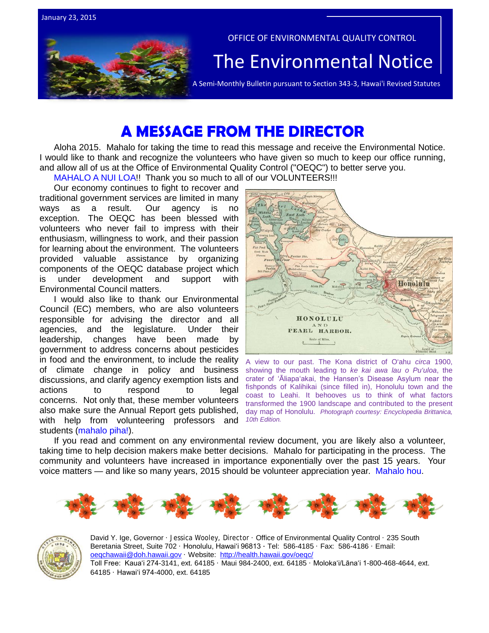

# **A MESSAGE FROM THE DIRECTOR**

Aloha 2015. Mahalo for taking the time to read this message and receive the Environmental Notice. I would like to thank and recognize the volunteers who have given so much to keep our office running, and allow all of us at the Office of Environmental Quality Control ("OEQC") to better serve you. MAHALO A NUI LOA!! Thank you so much to all of our VOLUNTEERS!!!

Our economy continues to fight to recover and traditional government services are limited in many ways as a result. Our agency is no exception. The OEQC has been blessed with volunteers who never fail to impress with their enthusiasm, willingness to work, and their passion for learning about the environment. The volunteers provided valuable assistance by organizing components of the OEQC database project which is under development and support with Environmental Council matters.

I would also like to thank our Environmental Council (EC) members, who are also volunteers responsible for advising the director and all agencies, and the legislature. Under their leadership, changes have been made by government to address concerns about pesticides in food and the environment, to include the reality of climate change in policy and business discussions, and clarify agency exemption lists and actions to respond to legal concerns. Not only that, these member volunteers also make sure the Annual Report gets published, with help from volunteering professors and students (mahalo piha!).



A view to our past. The Kona district of O'ahu *circa* 1900, showing the mouth leading to *ke kai awa lau o Pu'uloa*, the crater of 'Āliapa'akai, the Hansen's Disease Asylum near the fishponds of Kalihikai (since filled in), Honolulu town and the coast to Leahi. It behooves us to think of what factors transformed the 1900 landscape and contributed to the present day map of Honolulu. *Photograph courtesy: Encyclopedia Brittanica, 10th Edition.*

If you read and comment on any environmental review document, you are likely also a volunteer, taking time to help decision makers make better decisions. Mahalo for participating in the process. The community and volunteers have increased in importance exponentially over the past 15 years. Your voice matters — and like so many years, 2015 should be volunteer appreciation year. Mahalo hou.





David Y. Ige, Governor · Jessica Wooley, Director · Office of Environmental Quality Control · 235 South Beretania Street, Suite 702 · Honolulu, Hawaiʻi 96813 ∙ Tel: 586-4185 · Fax: 586-4186 · Email: [oeqchawaii@doh.hawaii.gov](mailto:oeqchawaii@doh.hawaii.gov) · Website:<http://health.hawaii.gov/oeqc/> Toll Free: Kauaʻi 274-3141, ext. 64185 · Maui 984-2400, ext. 64185 · Molokaʻi/Lānaʻi 1-800-468-4644, ext. 64185 · Hawaiʻi 974-4000, ext. 64185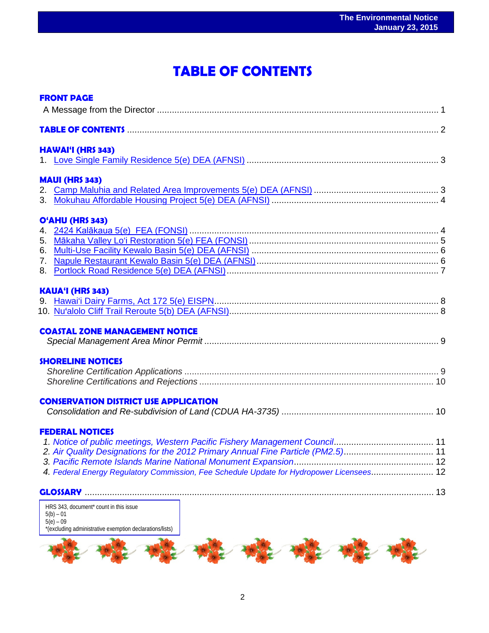# **TABLE OF CONTENTS**

 $\overline{a}$ 

| <b>FRONT PAGE</b>                                                                        |  |
|------------------------------------------------------------------------------------------|--|
| TABLE OF CONTENTS <b>Manual Contents</b> 2                                               |  |
| <b>HAWAI'I (HRS 343)</b>                                                                 |  |
|                                                                                          |  |
| <b>MAUI (HRS 343)</b>                                                                    |  |
|                                                                                          |  |
|                                                                                          |  |
| O'AHU (HRS 343)                                                                          |  |
|                                                                                          |  |
|                                                                                          |  |
|                                                                                          |  |
|                                                                                          |  |
|                                                                                          |  |
| <b>KAUA'I (HRS 343)</b>                                                                  |  |
|                                                                                          |  |
|                                                                                          |  |
| <b>COASTAL ZONE MANAGEMENT NOTICE</b>                                                    |  |
|                                                                                          |  |
|                                                                                          |  |
| <b>SHORELINE NOTICES</b>                                                                 |  |
|                                                                                          |  |
|                                                                                          |  |
| <b>CONSERVATION DISTRICT USE APPLICATION</b>                                             |  |
|                                                                                          |  |
| <b>FEDERAL NOTICES</b>                                                                   |  |
|                                                                                          |  |
| 2. Air Quality Designations for the 2012 Primary Annual Fine Particle (PM2.5) 11         |  |
|                                                                                          |  |
| 4. Federal Energy Regulatory Commission, Fee Schedule Update for Hydropower Licensees 12 |  |
|                                                                                          |  |
| HRS 343, document* count in this issue                                                   |  |



5(b) – 01 5(e) – 09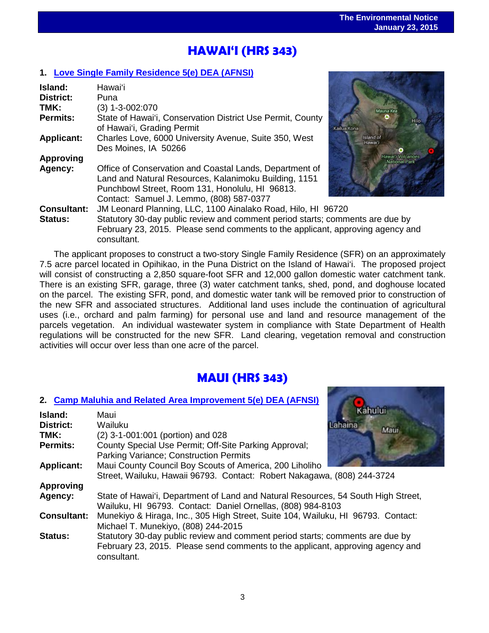# ֖֧֦֧֧֧֪֪֪֪֪֪֪֪֪֪֪֪֛֚֚֚֚֚֚֚֚֚֚֚֚֚֚֚֚֚֚֚֚֚֚֚֚֚֚֚֬֝֓֕֓֡֡֡֡֡֡֬֝֓֡ **HAWAI'I (HRS 343)**

## **1. [Love Single Family Residence 5\(e\) DEA \(AFNSI\)](http://oeqc.doh.hawaii.gov/Shared%20Documents/EA_and_EIS_Online_Library/Hawaii/2010s/2015-01-23-HA-5E-DEA-Love-Single-Family-Residence.pdf)**

consultant.

| Island:            | Hawai'i                                                                        |                                    |
|--------------------|--------------------------------------------------------------------------------|------------------------------------|
| <b>District:</b>   | Puna                                                                           |                                    |
| TMK:               | $(3)$ 1-3-002:070                                                              | Mauna Kea                          |
| <b>Permits:</b>    | State of Hawai'i, Conservation District Use Permit, County                     | Hilo                               |
|                    | of Hawai'i, Grading Permit                                                     | Kailua Kona                        |
| <b>Applicant:</b>  | Charles Love, 6000 University Avenue, Suite 350, West                          | Island of<br>Hawai'i               |
|                    | Des Moines, IA 50266                                                           |                                    |
| <b>Approving</b>   |                                                                                | Hawai'i Volcanoes<br>National Park |
| Agency:            | Office of Conservation and Coastal Lands, Department of                        |                                    |
|                    | Land and Natural Resources, Kalanimoku Building, 1151                          |                                    |
|                    | Punchbowl Street, Room 131, Honolulu, HI 96813.                                |                                    |
|                    | Contact: Samuel J. Lemmo, (808) 587-0377                                       |                                    |
| <b>Consultant:</b> | JM Leonard Planning, LLC, 1100 Ainalako Road, Hilo, HI 96720                   |                                    |
| <b>Status:</b>     | Statutory 30-day public review and comment period starts; comments are due by  |                                    |
|                    | February 23, 2015. Please send comments to the applicant, approving agency and |                                    |



The applicant proposes to construct a two-story Single Family Residence (SFR) on an approximately 7.5 acre parcel located in Opihikao, in the Puna District on the Island of Hawai'i. The proposed project will consist of constructing a 2,850 square-foot SFR and 12,000 gallon domestic water catchment tank. There is an existing SFR, garage, three (3) water catchment tanks, shed, pond, and doghouse located on the parcel. The existing SFR, pond, and domestic water tank will be removed prior to construction of the new SFR and associated structures. Additional land uses include the continuation of agricultural uses (i.e., orchard and palm farming) for personal use and land and resource management of the parcels vegetation. An individual wastewater system in compliance with State Department of Health regulations will be constructed for the new SFR. Land clearing, vegetation removal and construction activities will occur over less than one acre of the parcel.

## **MAUI (HRS 343)**

## **2. [Camp Maluhia and Related Area Improvement 5\(e\) DEA \(AFNSI\)](http://oeqc.doh.hawaii.gov/Shared%20Documents/EA_and_EIS_Online_Library/Maui/2010s/2015-01-23-MA-5B-DEA-Camp-Maluhia-and-Related-Area-Improvements.pdf)**

| Island:            | Kahului<br>Maui                                                                                                                                                                |
|--------------------|--------------------------------------------------------------------------------------------------------------------------------------------------------------------------------|
| <b>District:</b>   | Wailuku<br>Lahaina<br><b>Maui</b>                                                                                                                                              |
| TMK:               | (2) 3-1-001:001 (portion) and 028                                                                                                                                              |
| <b>Permits:</b>    | County Special Use Permit; Off-Site Parking Approval;                                                                                                                          |
|                    | <b>Parking Variance; Construction Permits</b>                                                                                                                                  |
| <b>Applicant:</b>  | Maui County Council Boy Scouts of America, 200 Liholiho                                                                                                                        |
|                    | Street, Wailuku, Hawaii 96793. Contact: Robert Nakagawa, (808) 244-3724                                                                                                        |
| <b>Approving</b>   |                                                                                                                                                                                |
| Agency:            | State of Hawai'i, Department of Land and Natural Resources, 54 South High Street,<br>Wailuku, HI 96793. Contact: Daniel Ornellas, (808) 984-8103                               |
| <b>Consultant:</b> | Munekiyo & Hiraga, Inc., 305 High Street, Suite 104, Wailuku, HI 96793. Contact:<br>Michael T. Munekiyo, (808) 244-2015                                                        |
| <b>Status:</b>     | Statutory 30-day public review and comment period starts; comments are due by<br>February 23, 2015. Please send comments to the applicant, approving agency and<br>consultant. |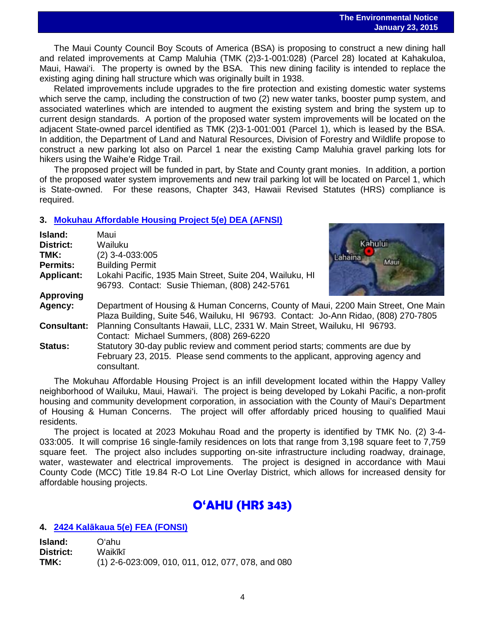The Maui County Council Boy Scouts of America (BSA) is proposing to construct a new dining hall and related improvements at Camp Maluhia (TMK (2)3-1-001:028) (Parcel 28) located at Kahakuloa, Maui, Hawai'i. The property is owned by the BSA. This new dining facility is intended to replace the existing aging dining hall structure which was originally built in 1938.

Related improvements include upgrades to the fire protection and existing domestic water systems which serve the camp, including the construction of two (2) new water tanks, booster pump system, and associated waterlines which are intended to augment the existing system and bring the system up to current design standards. A portion of the proposed water system improvements will be located on the adjacent State-owned parcel identified as TMK (2)3-1-001:001 (Parcel 1), which is leased by the BSA. In addition, the Department of Land and Natural Resources, Division of Forestry and Wildlife propose to construct a new parking lot also on Parcel 1 near the existing Camp Maluhia gravel parking lots for hikers using the Waiheʻe Ridge Trail.

The proposed project will be funded in part, by State and County grant monies. In addition, a portion of the proposed water system improvements and new trail parking lot will be located on Parcel 1, which is State-owned. For these reasons, Chapter 343, Hawaii Revised Statutes (HRS) compliance is required.

## **3. [Mokuhau Affordable Housing Project 5\(e\) DEA \(AFNSI\)](http://oeqc.doh.hawaii.gov/Shared%20Documents/EA_and_EIS_Online_Library/Maui/2010s/2015-01-23-MA-5E-DEA-Mokuhau-Affordable-Housing-Project.pdf)**

| Island:            | Maui                                                                                                                                                                           |         |
|--------------------|--------------------------------------------------------------------------------------------------------------------------------------------------------------------------------|---------|
| <b>District:</b>   | Wailuku                                                                                                                                                                        | Kahului |
| TMK:               | $(2)$ 3-4-033:005                                                                                                                                                              |         |
| <b>Permits:</b>    | <b>Building Permit</b>                                                                                                                                                         | Maui.   |
| <b>Applicant:</b>  | Lokahi Pacific, 1935 Main Street, Suite 204, Wailuku, HI<br>96793. Contact: Susie Thieman, (808) 242-5761                                                                      |         |
| <b>Approving</b>   |                                                                                                                                                                                |         |
| Agency:            | Department of Housing & Human Concerns, County of Maui, 2200 Main Street, One Main<br>Plaza Building, Suite 546, Wailuku, HI 96793. Contact: Jo-Ann Ridao, (808) 270-7805      |         |
| <b>Consultant:</b> | Planning Consultants Hawaii, LLC, 2331 W. Main Street, Wailuku, HI 96793.<br>Contact: Michael Summers, (808) 269-6220                                                          |         |
| <b>Status:</b>     | Statutory 30-day public review and comment period starts; comments are due by<br>February 23, 2015. Please send comments to the applicant, approving agency and<br>consultant. |         |

The Mokuhau Affordable Housing Project is an infill development located within the Happy Valley neighborhood of Wailuku, Maui, Hawai'i. The project is being developed by Lokahi Pacific, a non-profit housing and community development corporation, in association with the County of Maui's Department of Housing & Human Concerns. The project will offer affordably priced housing to qualified Maui residents.

The project is located at 2023 Mokuhau Road and the property is identified by TMK No. (2) 3-4- 033:005. It will comprise 16 single-family residences on lots that range from 3,198 square feet to 7,759 square feet. The project also includes supporting on-site infrastructure including roadway, drainage, water, wastewater and electrical improvements. The project is designed in accordance with Maui County Code (MCC) Title 19.84 R-O Lot Line Overlay District, which allows for increased density for affordable housing projects.

## **O'AHU (HRS 343)**

## **4. 2424 Kalā[kaua 5\(e\) FEA](http://oeqc.doh.hawaii.gov/Shared%20Documents/EA_and_EIS_Online_Library/Oahu/2010s/2015-01-23-OA-5E-FEA-2424-Kalakaua.pdf) (FONSI)**

| Island:   | Oʻahu                                             |
|-----------|---------------------------------------------------|
| District: | Waikīkī                                           |
| TMK:      | (1) 2-6-023:009, 010, 011, 012, 077, 078, and 080 |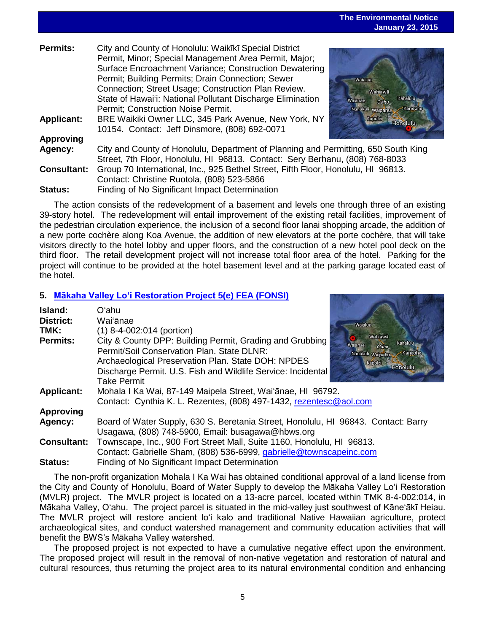5

### **The Environmental Notice January 23, 2015**

|                    |                                                                                                                                                                                                                                                                                                                                                                                          | $v$ andany $Fv$ , $Fv$                                                                       |
|--------------------|------------------------------------------------------------------------------------------------------------------------------------------------------------------------------------------------------------------------------------------------------------------------------------------------------------------------------------------------------------------------------------------|----------------------------------------------------------------------------------------------|
| Permits:           | City and County of Honolulu: Waikīkī Special District<br>Permit, Minor; Special Management Area Permit, Major;<br>Surface Encroachment Variance; Construction Dewatering<br>Permit; Building Permits; Drain Connection; Sewer<br>Connection; Street Usage; Construction Plan Review.<br>State of Hawai'i: National Pollutant Discharge Elimination<br>Permit; Construction Noise Permit. | <b>Waialua</b><br>Wahiawā<br>Kahalu'u<br>Waianae<br>$O'$ ahu<br>Kaneohe<br>Nanakuli Waipahur |
| <b>Applicant:</b>  | BRE Waikiki Owner LLC, 345 Park Avenue, New York, NY<br>10154. Contact: Jeff Dinsmore, (808) 692-0071                                                                                                                                                                                                                                                                                    | Kapolei<br><b>Honolulu</b>                                                                   |
| Approving          |                                                                                                                                                                                                                                                                                                                                                                                          |                                                                                              |
| Agency:            | City and County of Honolulu, Department of Planning and Permitting, 650 South King<br>Street, 7th Floor, Honolulu, HI 96813. Contact: Sery Berhanu, (808) 768-8033                                                                                                                                                                                                                       |                                                                                              |
| <b>Consultant:</b> | Group 70 International, Inc., 925 Bethel Street, Fifth Floor, Honolulu, HI 96813.<br>Contact: Christine Ruotola, (808) 523-5866                                                                                                                                                                                                                                                          |                                                                                              |
| Status:            | Finding of No Significant Impact Determination                                                                                                                                                                                                                                                                                                                                           |                                                                                              |

The action consists of the redevelopment of a basement and levels one through three of an existing 39-story hotel. The redevelopment will entail improvement of the existing retail facilities, improvement of the pedestrian circulation experience, the inclusion of a second floor lanai shopping arcade, the addition of a new porte cochère along Koa Avenue, the addition of new elevators at the porte cochère, that will take visitors directly to the hotel lobby and upper floors, and the construction of a new hotel pool deck on the third floor. The retail development project will not increase total floor area of the hotel. Parking for the project will continue to be provided at the hotel basement level and at the parking garage located east of the hotel.

## **5. [Mākaha Valley Lo'i Restoration Project](http://oeqc.doh.hawaii.gov/Shared%20Documents/EA_and_EIS_Online_Library/Oahu/2010s/2015-01-23-OA-5E-FEA-Makaha-Valley-Loi-Restoration.pdf) 5(e) FEA (FONSI)**

| Island:            | Oʻahu                                                                              |                                            |
|--------------------|------------------------------------------------------------------------------------|--------------------------------------------|
| <b>District:</b>   | Wai'ānae                                                                           | Waialua                                    |
| TMK:               | $(1)$ 8-4-002:014 (portion)                                                        |                                            |
| <b>Permits:</b>    | City & County DPP: Building Permit, Grading and Grubbing                           | Wahiawā<br>Kahalu'u<br><b>Naianae</b>      |
|                    | Permit/Soil Conservation Plan, State DLNR:                                         | O'ahu<br>Nanakuli Waipahu<br><b>Kaneoh</b> |
|                    | Archaeological Preservation Plan. State DOH: NPDES                                 | Kapolei                                    |
|                    | Discharge Permit. U.S. Fish and Wildlife Service: Incidental                       | Honolulu                                   |
|                    | <b>Take Permit</b>                                                                 |                                            |
| <b>Applicant:</b>  | Mohala I Ka Wai, 87-149 Maipela Street, Wai'anae, HI 96792.                        |                                            |
|                    | Contact: Cynthia K. L. Rezentes, (808) 497-1432, rezentesc@aol.com                 |                                            |
| <b>Approving</b>   |                                                                                    |                                            |
| Agency:            | Board of Water Supply, 630 S. Beretania Street, Honolulu, HI 96843. Contact: Barry |                                            |
|                    | Usagawa, (808) 748-5900, Email: busagawa@hbws.org                                  |                                            |
| <b>Consultant:</b> | Townscape, Inc., 900 Fort Street Mall, Suite 1160, Honolulu, HI 96813.             |                                            |
|                    | Contact: Gabrielle Sham, (808) 536-6999, gabrielle@townscapeinc.com                |                                            |
| Status:            | Finding of No Significant Impact Determination                                     |                                            |

The non-profit organization Mohala I Ka Wai has obtained conditional approval of a land license from the City and County of Honolulu, Board of Water Supply to develop the Mākaha Valley Loʻi Restoration (MVLR) project. The MVLR project is located on a 13-acre parcel, located within TMK 8-4-002:014, in Mākaha Valley, Oʻahu. The project parcel is situated in the mid-valley just southwest of Kāne'ākī Heiau. The MVLR project will restore ancient loʻi kalo and traditional Native Hawaiian agriculture, protect archaeological sites, and conduct watershed management and community education activities that will benefit the BWS's Mākaha Valley watershed.

The proposed project is not expected to have a cumulative negative effect upon the environment. The proposed project will result in the removal of non-native vegetation and restoration of natural and cultural resources, thus returning the project area to its natural environmental condition and enhancing

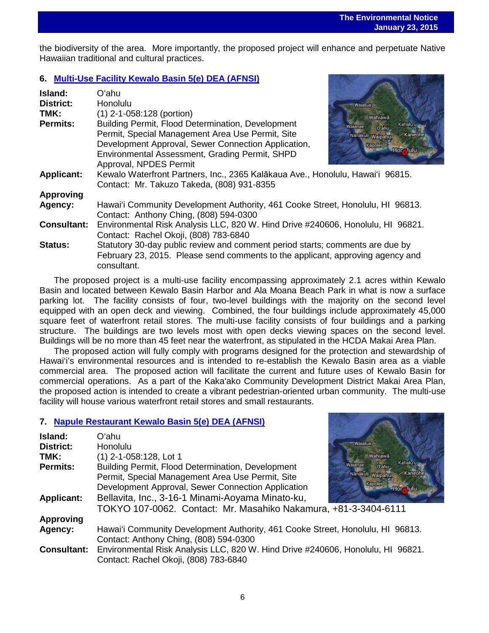the biodiversity of the area. More importantly, the proposed project will enhance and perpetuate Native Hawaiian traditional and cultural practices.

## **6. [Multi-Use Facility Kewalo Basin 5\(e\) DEA \(AFNSI\)](http://oeqc.doh.hawaii.gov/Shared%20Documents/EA_and_EIS_Online_Library/Oahu/2010s/2015-01-23-OA-5B-DEA-Multi-Use-Facility-Kewalo-Basin.pdf)**

| Island:            | Oʻahu                                                                                         |  |
|--------------------|-----------------------------------------------------------------------------------------------|--|
| <b>District:</b>   | <b>Honolulu</b><br>Waialua                                                                    |  |
| TMK:               | (1) 2-1-058:128 (portion)<br>Wahiawa                                                          |  |
| Permits:           | Building Permit, Flood Determination, Development<br>Kahalu'u<br>Waianae<br>O'ahu             |  |
|                    | Permit, Special Management Area Use Permit, Site<br>Nanakuli Waipahu<br>Kaneoh                |  |
|                    | Development Approval, Sewer Connection Application,<br>Kapolei                                |  |
|                    | Hor Julu<br>Environmental Assessment, Grading Permit, SHPD<br>Approval, NPDES Permit          |  |
| <b>Applicant:</b>  | Kewalo Waterfront Partners, Inc., 2365 Kalākaua Ave., Honolulu, Hawai'i 96815.                |  |
|                    | Contact: Mr. Takuzo Takeda, (808) 931-8355                                                    |  |
| <b>Approving</b>   |                                                                                               |  |
| Agency:            | Hawai'i Community Development Authority, 461 Cooke Street, Honolulu, HI 96813.                |  |
|                    | Contact: Anthony Ching, (808) 594-0300                                                        |  |
| <b>Consultant:</b> | Environmental Risk Analysis LLC, 820 W. Hind Drive #240606, Honolulu, HI 96821.               |  |
|                    | Contact: Rachel Okoji, (808) 783-6840                                                         |  |
| <b>Status:</b>     | Statutory 30-day public review and comment period starts; comments are due by                 |  |
|                    | February 23, 2015. Please send comments to the applicant, approving agency and<br>consultant. |  |

The proposed project is a multi-use facility encompassing approximately 2.1 acres within Kewalo Basin and located between Kewalo Basin Harbor and Ala Moana Beach Park in what is now a surface parking lot. The facility consists of four, two-level buildings with the majority on the second level equipped with an open deck and viewing. Combined, the four buildings include approximately 45,000 square feet of waterfront retail stores. The multi-use facility consists of four buildings and a parking structure. The buildings are two levels most with open decks viewing spaces on the second level. Buildings will be no more than 45 feet near the waterfront, as stipulated in the HCDA Makai Area Plan.

The proposed action will fully comply with programs designed for the protection and stewardship of Hawai'i's environmental resources and is intended to re-establish the Kewalo Basin area as a viable commercial area. The proposed action will facilitate the current and future uses of Kewalo Basin for commercial operations. As a part of the Kaka'ako Community Development District Makai Area Plan, the proposed action is intended to create a vibrant pedestrian-oriented urban community. The multi-use facility will house various waterfront retail stores and small restaurants.

### **7. [Napule Restaurant Kewalo Basin](http://oeqc.doh.hawaii.gov/Shared%20Documents/EA_and_EIS_Online_Library/Oahu/2010s/2015-01-23-OA-5B-DEA-Napule-Restaurant-Kewalo-Basin.pdf) 5(e) DEA (AFNSI)**

| Island:<br><b>District:</b><br>TMK:<br><b>Permits:</b><br><b>Applicant:</b> | Oʻahu<br><b>Honolulu</b><br>(1) 2-1-058:128, Lot 1<br>Building Permit, Flood Determination, Development<br>Permit, Special Management Area Use Permit, Site<br>Development Approval, Sewer Connection Application<br>Bellavita, Inc., 3-16-1 Minami-Aoyama Minato-ku, | Waialua<br>Wahiawā<br>Kahalu'u<br>Waianae<br>O'ahu<br>Kaneoh<br>Nanākuli Waipahui<br>Kapolei<br><b>Hor WIT</b> |
|-----------------------------------------------------------------------------|-----------------------------------------------------------------------------------------------------------------------------------------------------------------------------------------------------------------------------------------------------------------------|----------------------------------------------------------------------------------------------------------------|
|                                                                             | TOKYO 107-0062. Contact: Mr. Masahiko Nakamura, +81-3-3404-6111                                                                                                                                                                                                       |                                                                                                                |
| <b>Approving</b>                                                            |                                                                                                                                                                                                                                                                       |                                                                                                                |
| Agency:                                                                     | Hawai'i Community Development Authority, 461 Cooke Street, Honolulu, HI 96813.<br>Contact: Anthony Ching, (808) 594-0300                                                                                                                                              |                                                                                                                |
| <b>Consultant:</b>                                                          | Environmental Risk Analysis LLC, 820 W. Hind Drive #240606, Honolulu, HI 96821.<br>Contact: Rachel Okoji, (808) 783-6840                                                                                                                                              |                                                                                                                |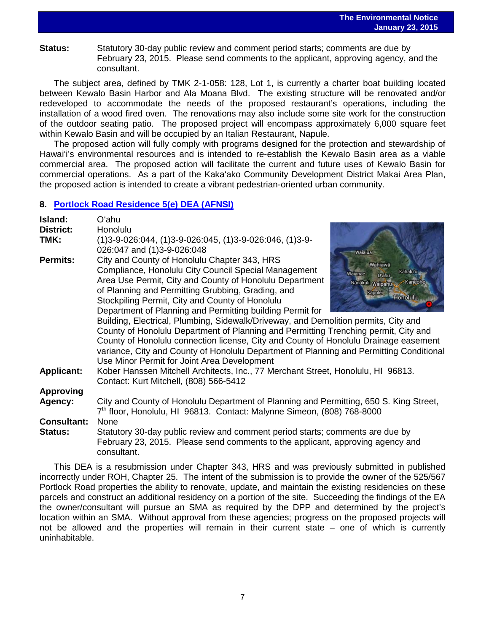**Status:** Statutory 30-day public review and comment period starts; comments are due by February 23, 2015. Please send comments to the applicant, approving agency, and the consultant.

The subject area, defined by TMK 2-1-058: 128, Lot 1, is currently a charter boat building located between Kewalo Basin Harbor and Ala Moana Blvd. The existing structure will be renovated and/or redeveloped to accommodate the needs of the proposed restaurant's operations, including the installation of a wood fired oven. The renovations may also include some site work for the construction of the outdoor seating patio. The proposed project will encompass approximately 6,000 square feet within Kewalo Basin and will be occupied by an Italian Restaurant, Napule.

The proposed action will fully comply with programs designed for the protection and stewardship of Hawai'i's environmental resources and is intended to re-establish the Kewalo Basin area as a viable commercial area. The proposed action will facilitate the current and future uses of Kewalo Basin for commercial operations. As a part of the Kaka'ako Community Development District Makai Area Plan, the proposed action is intended to create a vibrant pedestrian-oriented urban community.

### **8. [Portlock Road Residence](http://oeqc.doh.hawaii.gov/Shared%20Documents/EA_and_EIS_Online_Library/Oahu/2010s/2015-01-23-OA-5E-DEA-Portlock-Road-Residence.pdf) 5(e) DEA (AFNSI)**

| Island:<br>District:<br>TMK:  | O'ahu<br>Honolulu<br>$(1)3-9-026:044, (1)3-9-026:045, (1)3-9-026:046, (1)3-9-026$<br>026:047 and (1)3-9-026:048<br>Waialua                                                                                                                                                                                                                                                                                                                                                                                                                                                                                                                                                                                                                                                                                                                                   |
|-------------------------------|--------------------------------------------------------------------------------------------------------------------------------------------------------------------------------------------------------------------------------------------------------------------------------------------------------------------------------------------------------------------------------------------------------------------------------------------------------------------------------------------------------------------------------------------------------------------------------------------------------------------------------------------------------------------------------------------------------------------------------------------------------------------------------------------------------------------------------------------------------------|
| <b>Permits:</b>               | City and County of Honolulu Chapter 343, HRS<br>Wahiawa<br>Compliance, Honolulu City Council Special Management<br>Kahalu'u<br>Waianae<br>O'ahu<br>Area Use Permit, City and County of Honolulu Department<br>Nanakuli Waipahu<br>Kaneohe<br>of Planning and Permitting Grubbing, Grading, and<br>Kapolei<br><b>Honolulu</b><br>Stockpiling Permit, City and County of Honolulu<br>Department of Planning and Permitting building Permit for<br>Building, Electrical, Plumbing, Sidewalk/Driveway, and Demolition permits, City and<br>County of Honolulu Department of Planning and Permitting Trenching permit, City and<br>County of Honolulu connection license, City and County of Honolulu Drainage easement<br>variance, City and County of Honolulu Department of Planning and Permitting Conditional<br>Use Minor Permit for Joint Area Development |
| <b>Applicant:</b>             | Kober Hanssen Mitchell Architects, Inc., 77 Merchant Street, Honolulu, HI 96813.<br>Contact: Kurt Mitchell, (808) 566-5412                                                                                                                                                                                                                                                                                                                                                                                                                                                                                                                                                                                                                                                                                                                                   |
| <b>Approving</b>              |                                                                                                                                                                                                                                                                                                                                                                                                                                                                                                                                                                                                                                                                                                                                                                                                                                                              |
| Agency:                       | City and County of Honolulu Department of Planning and Permitting, 650 S. King Street,<br>7 <sup>th</sup> floor, Honolulu, HI 96813. Contact: Malynne Simeon, (808) 768-8000                                                                                                                                                                                                                                                                                                                                                                                                                                                                                                                                                                                                                                                                                 |
| <b>Consultant:</b><br>Status: | None<br>Statutory 30-day public review and comment period starts; comments are due by<br>February 23, 2015. Please send comments to the applicant, approving agency and<br>consultant.                                                                                                                                                                                                                                                                                                                                                                                                                                                                                                                                                                                                                                                                       |

This DEA is a resubmission under Chapter 343, HRS and was previously submitted in published incorrectly under ROH, Chapter 25. The intent of the submission is to provide the owner of the 525/567 Portlock Road properties the ability to renovate, update, and maintain the existing residencies on these parcels and construct an additional residency on a portion of the site. Succeeding the findings of the EA the owner/consultant will pursue an SMA as required by the DPP and determined by the project's location within an SMA. Without approval from these agencies; progress on the proposed projects will not be allowed and the properties will remain in their current state – one of which is currently uninhabitable.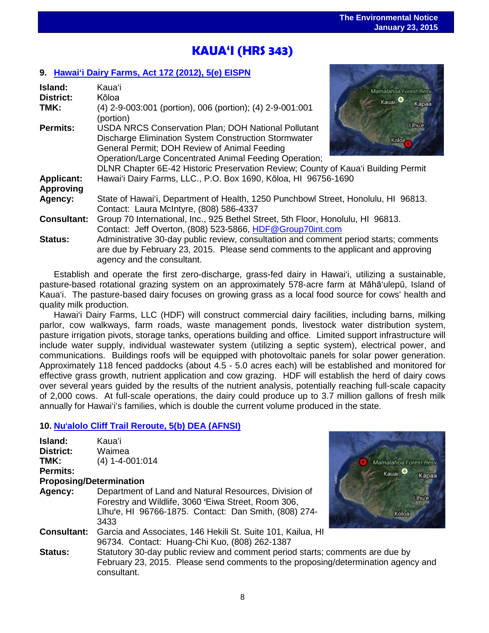# l<br>. **KAUA'I (HRS 343)**

## **9. [Hawai'i Dairy Farms,](http://oeqc.doh.hawaii.gov/Shared%20Documents/EA_and_EIS_Online_Library/Kauai/2010s/2015-01-23-KA-5E-EISPN-Hawaii-Dairy-Farms.pdf) Act 172 (2012), 5(e) EISPN**

| Island:            | Kauaʻi                                                                                                          | Mamalahoa Forest Resv |
|--------------------|-----------------------------------------------------------------------------------------------------------------|-----------------------|
| <b>District:</b>   | Kōloa                                                                                                           | Kauai <sup>O</sup>    |
| TMK:               | (4) 2-9-003:001 (portion), 006 (portion); (4) 2-9-001:001<br>(portion)                                          | Kapaa                 |
| <b>Permits:</b>    | <b>USDA NRCS Conservation Plan; DOH National Pollutant</b>                                                      | l Thuie               |
|                    | Discharge Elimination System Construction Stormwater                                                            | Koloa.                |
|                    | General Permit; DOH Review of Animal Feeding                                                                    |                       |
|                    | Operation/Large Concentrated Animal Feeding Operation;                                                          |                       |
|                    | DLNR Chapter 6E-42 Historic Preservation Review; County of Kaua'i Building Permit                               |                       |
| <b>Applicant:</b>  | Hawai'i Dairy Farms, LLC., P.O. Box 1690, Kōloa, HI 96756-1690                                                  |                       |
| <b>Approving</b>   |                                                                                                                 |                       |
| Agency:            | State of Hawai'i, Department of Health, 1250 Punchbowl Street, Honolulu, HI 96813.                              |                       |
|                    | Contact: Laura McIntyre, (808) 586-4337                                                                         |                       |
| <b>Consultant:</b> | Group 70 International, Inc., 925 Bethel Street, 5th Floor, Honolulu, HI 96813.                                 |                       |
|                    | Contact: Jeff Overton, (808) 523-5866, HDF@Group70int.com                                                       |                       |
| <b>Status:</b>     | Administrative 30-day public review, consultation and comment period starts; comments                           |                       |
|                    | are due by February 23, 2015. Please send comments to the applicant and approving<br>agency and the consultant. |                       |

Establish and operate the first zero-discharge, grass-fed dairy in Hawai'i, utilizing a sustainable, pasture-based rotational grazing system on an approximately 578-acre farm at Māhā'ulepū, Island of Kaua'i. The pasture-based dairy focuses on growing grass as a local food source for cows' health and quality milk production.

Hawai'i Dairy Farms, LLC (HDF) will construct commercial dairy facilities, including barns, milking parlor, cow walkways, farm roads, waste management ponds, livestock water distribution system, pasture irrigation pivots, storage tanks, operations building and office. Limited support infrastructure will include water supply, individual wastewater system (utilizing a septic system), electrical power, and communications. Buildings roofs will be equipped with photovoltaic panels for solar power generation. Approximately 118 fenced paddocks (about 4.5 - 5.0 acres each) will be established and monitored for effective grass growth, nutrient application and cow grazing. HDF will establish the herd of dairy cows over several years guided by the results of the nutrient analysis, potentially reaching full-scale capacity of 2,000 cows. At full-scale operations, the dairy could produce up to 3.7 million gallons of fresh milk annually for Hawai'i's families, which is double the current volume produced in the state.

## **10. Nu**'**[alolo Cliff Trail Reroute, 5\(b\)](http://oeqc.doh.hawaii.gov/Shared%20Documents/EA_and_EIS_Online_Library/Kauai/2010s/2015-01-23-KA-5B-DEA-Nualolo-Cliff-Trail-Reroute.pdf) DEA (AFNSI)**

| Island:                        | Kaua'i                                                                                                                                                                            |                             |
|--------------------------------|-----------------------------------------------------------------------------------------------------------------------------------------------------------------------------------|-----------------------------|
| <b>District:</b>               | Waimea                                                                                                                                                                            |                             |
| TMK:                           | $(4)$ 1-4-001:014                                                                                                                                                                 | Mamalahoa Forest Resv       |
| Permits:                       |                                                                                                                                                                                   | Kauai <sup>O</sup><br>Kapaa |
| <b>Proposing/Determination</b> |                                                                                                                                                                                   |                             |
| Agency:                        | Department of Land and Natural Resources, Division of<br>Forestry and Wildlife, 3060 'Eiwa Street, Room 306,<br>Līhu'e, HI 96766-1875. Contact: Dan Smith, (808) 274-<br>3433     | Lihule<br>Koloa             |
| <b>Consultant:</b>             | Garcia and Associates, 146 Hekili St. Suite 101, Kailua, HI<br>96734. Contact: Huang-Chi Kuo, (808) 262-1387                                                                      |                             |
| Status:                        | Statutory 30-day public review and comment period starts; comments are due by<br>February 23, 2015. Please send comments to the proposing/determination agency and<br>consultant. |                             |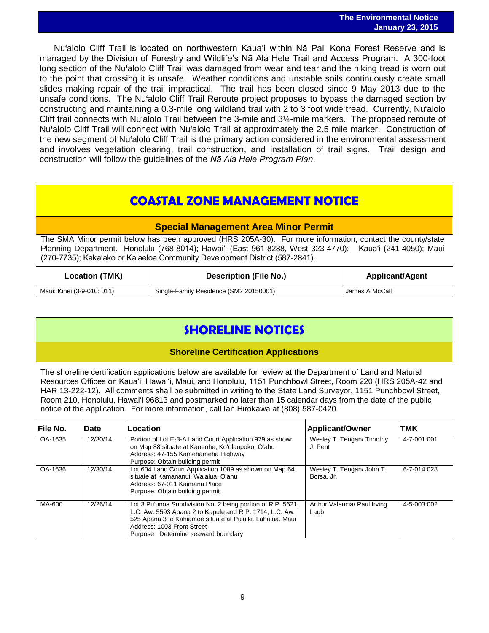Nu'alolo Cliff Trail is located on northwestern Kauaʻi within Nā Pali Kona Forest Reserve and is managed by the Division of Forestry and Wildlife's Nā Ala Hele Trail and Access Program. A 300-foot long section of the Nu'alolo Cliff Trail was damaged from wear and tear and the hiking tread is worn out to the point that crossing it is unsafe. Weather conditions and unstable soils continuously create small slides making repair of the trail impractical. The trail has been closed since 9 May 2013 due to the unsafe conditions. The Nu'alolo Cliff Trail Reroute project proposes to bypass the damaged section by constructing and maintaining a 0.3-mile long wildland trail with 2 to 3 foot wide tread. Currently, Nu'alolo Cliff trail connects with Nu'alolo Trail between the 3-mile and 3¼-mile markers. The proposed reroute of Nu'alolo Cliff Trail will connect with Nu'alolo Trail at approximately the 2.5 mile marker. Construction of the new segment of Nu'alolo Cliff Trail is the primary action considered in the environmental assessment and involves vegetation clearing, trail construction, and installation of trail signs. Trail design and construction will follow the guidelines of the *Nā Ala Hele Program Plan*.

## **COASTAL ZONE MANAGEMENT NOTICE**

## **Special Management Area Minor Permit**

The SMA Minor permit below has been approved (HRS 205A-30). For more information, contact the county/state Planning Department. Honolulu (768-8014); Hawaiʻi (East 961-8288, West 323-4770); Kauaʻi (241-4050); Maui (270-7735); Kakaʻako or Kalaeloa Community Development District (587-2841).

| <b>Location (TMK)</b>      | <b>Description (File No.)</b>          | <b>Applicant/Agent</b> |
|----------------------------|----------------------------------------|------------------------|
| Maui: Kihei (3-9-010: 011) | Single-Family Residence (SM2 20150001) | James A McCall         |

# **SHORELINE NOTICES**

## **Shoreline Certification Applications**

The shoreline certification applications below are available for review at the Department of Land and Natural Resources Offices on Kauaʻi, Hawaiʻi, Maui, and Honolulu, 1151 Punchbowl Street, Room 220 (HRS 205A-42 and HAR 13-222-12). All comments shall be submitted in writing to the State Land Surveyor, 1151 Punchbowl Street, Room 210, Honolulu, Hawai'i 96813 and postmarked no later than 15 calendar days from the date of the public notice of the application. For more information, call Ian Hirokawa at (808) 587-0420.

| l File No. | Date     | Location                                                                                                                                                                                                                                                 | <b>Applicant/Owner</b>                  | TMK         |
|------------|----------|----------------------------------------------------------------------------------------------------------------------------------------------------------------------------------------------------------------------------------------------------------|-----------------------------------------|-------------|
| OA-1635    | 12/30/14 | Portion of Lot E-3-A Land Court Application 979 as shown<br>on Map 88 situate at Kaneohe, Ko'olaupoko, O'ahu<br>Address: 47-155 Kamehameha Highway<br>Purpose: Obtain building permit                                                                    | Wesley T. Tengan/Timothy<br>J. Pent     | 4-7-001:001 |
| OA-1636    | 12/30/14 | Lot 604 Land Court Application 1089 as shown on Map 64<br>situate at Kamananui, Waialua, O'ahu<br>Address: 67-011 Kaimanu Place<br>Purpose: Obtain building permit                                                                                       | Wesley T. Tengan/ John T.<br>Borsa, Jr. | 6-7-014:028 |
| MA-600     | 12/26/14 | Lot 3 Pu'unoa Subdivision No. 2 being portion of R.P. 5621,<br>L.C. Aw. 5593 Apana 2 to Kapule and R.P. 1714, L.C. Aw.<br>525 Apana 3 to Kahiamoe situate at Pu'uiki. Lahaina. Maui<br>Address: 1003 Front Street<br>Purpose: Determine seaward boundary | Arthur Valencia/ Paul Irving<br>Laub    | 4-5-003:002 |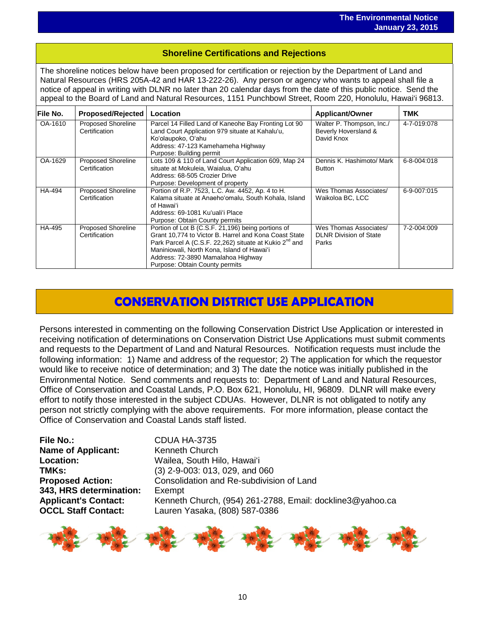# i<br>I **Shoreline Certifications and Rejections**

The shoreline notices below have been proposed for certification or rejection by the Department of Land and Natural Resources (HRS 205A-42 and HAR 13-222-26). Any person or agency who wants to appeal shall file a notice of appeal in writing with DLNR no later than 20 calendar days from the date of this public notice. Send the appeal to the Board of Land and Natural Resources, 1151 Punchbowl Street, Room 220, Honolulu, Hawai'i 96813.

| lFile No. | <b>Proposed/Rejected</b>                   | Location                                                                                                                                                                                                                                                                                                | <b>Applicant/Owner</b>                                           | TMK         |
|-----------|--------------------------------------------|---------------------------------------------------------------------------------------------------------------------------------------------------------------------------------------------------------------------------------------------------------------------------------------------------------|------------------------------------------------------------------|-------------|
| OA-1610   | <b>Proposed Shoreline</b><br>Certification | Parcel 14 Filled Land of Kaneohe Bay Fronting Lot 90<br>Land Court Application 979 situate at Kahalu'u,<br>Koʻolaupoko, Oʻahu<br>Address: 47-123 Kamehameha Highway<br>Purpose: Building permit                                                                                                         | Walter P. Thompson, Inc./<br>Beverly Hoversland &<br>David Knox  | 4-7-019:078 |
| OA-1629   | <b>Proposed Shoreline</b><br>Certification | Lots 109 & 110 of Land Court Application 609, Map 24<br>situate at Mokuleia, Waialua, O'ahu<br>Address: 68-505 Crozier Drive<br>Purpose: Development of property                                                                                                                                        | Dennis K. Hashimoto/ Mark<br><b>Button</b>                       | 6-8-004:018 |
| HA-494    | <b>Proposed Shoreline</b><br>Certification | Portion of R.P. 7523, L.C. Aw. 4452, Ap. 4 to H.<br>Kalama situate at Anaeho'omalu, South Kohala, Island<br>of Hawaiʻi<br>Address: 69-1081 Ku'uali'i Place<br>Purpose: Obtain County permits                                                                                                            | Wes Thomas Associates/<br>Waikoloa BC, LCC                       | 6-9-007:015 |
| HA-495    | <b>Proposed Shoreline</b><br>Certification | Portion of Lot B (C.S.F. 21,196) being portions of<br>Grant 10,774 to Victor B. Harrel and Kona Coast State<br>Park Parcel A (C.S.F. 22,262) situate at Kukio 2 <sup>nd</sup> and<br>Maniniowali, North Kona, Island of Hawai'i<br>Address: 72-3890 Mamalahoa Highway<br>Purpose: Obtain County permits | Wes Thomas Associates/<br><b>DLNR Division of State</b><br>Parks | 7-2-004:009 |

# **CONSERVATION DISTRICT USE APPLICATION**

Persons interested in commenting on the following Conservation District Use Application or interested in receiving notification of determinations on Conservation District Use Applications must submit comments and requests to the Department of Land and Natural Resources. Notification requests must include the following information: 1) Name and address of the requestor; 2) The application for which the requestor would like to receive notice of determination; and 3) The date the notice was initially published in the Environmental Notice. Send comments and requests to: Department of Land and Natural Resources, Office of Conservation and Coastal Lands, P.O. Box 621, Honolulu, HI, 96809. DLNR will make every effort to notify those interested in the subject CDUAs. However, DLNR is not obligated to notify any person not strictly complying with the above requirements. For more information, please contact the Office of Conservation and Coastal Lands staff listed.

**File No.:** CDUA HA-3735<br> **Name of Applicant:** Kenneth Church **Name of Applicant: Location:** Wailea, South Hilo, Hawai'i<br> **TMKs:** (3) 2-9-003: 013, 029, and ( **343, HRS determination:** Exempt

**TMKs:** (3) 2-9-003: 013, 029, and 060 **Proposed Action:** Consolidation and Re-subdivision of Land **Applicant's Contact:** Kenneth Church, (954) 261-2788, Email: dockline3@yahoo.ca **OCCL Staff Contact:** Lauren Yasaka, (808) 587-0386

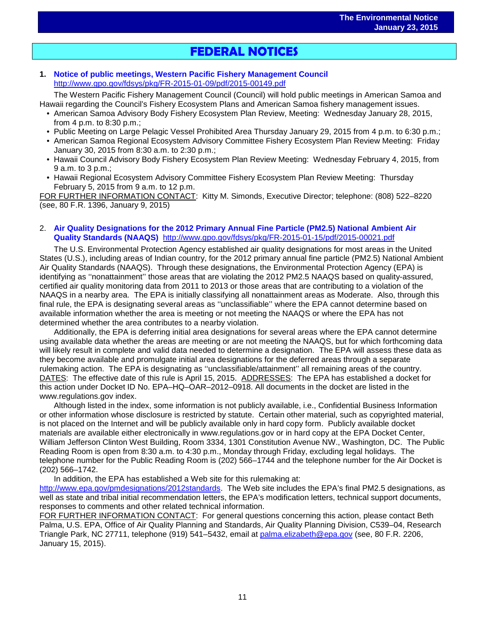# $\overline{a}$ **FEDERAL NOTICES**

### **1. [Notice of public meetings, Western Pacific Fishery Management Council](http://www.gpo.gov/fdsys/pkg/FR-2015-01-09/pdf/2015-00149.pdf)** <http://www.gpo.gov/fdsys/pkg/FR-2015-01-09/pdf/2015-00149.pdf>

The Western Pacific Fishery Management Council (Council) will hold public meetings in American Samoa and Hawaii regarding the Council's Fishery Ecosystem Plans and American Samoa fishery management issues.

- American Samoa Advisory Body Fishery Ecosystem Plan Review, Meeting: Wednesday January 28, 2015, from 4 p.m. to 8:30 p.m.;
- Public Meeting on Large Pelagic Vessel Prohibited Area Thursday January 29, 2015 from 4 p.m. to 6:30 p.m.;
- American Samoa Regional Ecosystem Advisory Committee Fishery Ecosystem Plan Review Meeting: Friday January 30, 2015 from 8:30 a.m. to 2:30 p.m.;
- Hawaii Council Advisory Body Fishery Ecosystem Plan Review Meeting: Wednesday February 4, 2015, from 9 a.m. to 3 p.m.;
- Hawaii Regional Ecosystem Advisory Committee Fishery Ecosystem Plan Review Meeting: Thursday February 5, 2015 from 9 a.m. to 12 p.m.

FOR FURTHER INFORMATION CONTACT: Kitty M. Simonds, Executive Director; telephone: (808) 522–8220 (see, 80 F.R. 1396, January 9, 2015)

### 2. **[Air Quality Designations for the 2012 Primary Annual Fine Particle \(PM2.5\) National Ambient Air](http://www.gpo.gov/fdsys/pkg/FR-2015-01-15/pdf/2015-00021.pdf)  [Quality Standards \(NAAQS\)](http://www.gpo.gov/fdsys/pkg/FR-2015-01-15/pdf/2015-00021.pdf)** <http://www.gpo.gov/fdsys/pkg/FR-2015-01-15/pdf/2015-00021.pdf>

The U.S. Environmental Protection Agency established air quality designations for most areas in the United States (U.S.), including areas of Indian country, for the 2012 primary annual fine particle (PM2.5) National Ambient Air Quality Standards (NAAQS). Through these designations, the Environmental Protection Agency (EPA) is identifying as ''nonattainment'' those areas that are violating the 2012 PM2.5 NAAQS based on quality-assured, certified air quality monitoring data from 2011 to 2013 or those areas that are contributing to a violation of the NAAQS in a nearby area. The EPA is initially classifying all nonattainment areas as Moderate. Also, through this final rule, the EPA is designating several areas as ''unclassifiable'' where the EPA cannot determine based on available information whether the area is meeting or not meeting the NAAQS or where the EPA has not determined whether the area contributes to a nearby violation.

Additionally, the EPA is deferring initial area designations for several areas where the EPA cannot determine using available data whether the areas are meeting or are not meeting the NAAQS, but for which forthcoming data will likely result in complete and valid data needed to determine a designation. The EPA will assess these data as they become available and promulgate initial area designations for the deferred areas through a separate rulemaking action. The EPA is designating as ''unclassifiable/attainment'' all remaining areas of the country. DATES: The effective date of this rule is April 15, 2015. ADDRESSES: The EPA has established a docket for this action under Docket ID No. EPA–HQ–OAR–2012–0918. All documents in the docket are listed in the www.regulations.gov index.

Although listed in the index, some information is not publicly available, i.e., Confidential Business Information or other information whose disclosure is restricted by statute. Certain other material, such as copyrighted material, is not placed on the Internet and will be publicly available only in hard copy form. Publicly available docket materials are available either electronically in www.regulations.gov or in hard copy at the EPA Docket Center, William Jefferson Clinton West Building, Room 3334, 1301 Constitution Avenue NW., Washington, DC. The Public Reading Room is open from 8:30 a.m. to 4:30 p.m., Monday through Friday, excluding legal holidays. The telephone number for the Public Reading Room is (202) 566–1744 and the telephone number for the Air Docket is (202) 566–1742.

In addition, the EPA has established a Web site for this rulemaking at:

[http://www.epa.gov/pmdesignations/2012standards.](http://www.epa.gov/pmdesignations/2012standards) The Web site includes the EPA's final PM2.5 designations, as well as state and tribal initial recommendation letters, the EPA's modification letters, technical support documents, responses to comments and other related technical information.

FOR FURTHER INFORMATION CONTACT: For general questions concerning this action, please contact Beth Palma, U.S. EPA, Office of Air Quality Planning and Standards, Air Quality Planning Division, C539–04, Research Triangle Park, NC 27711, telephone (919) 541–5432, email at [palma.elizabeth@epa.gov](mailto:palma.elizabeth@epa.gov) (see, 80 F.R. 2206, January 15, 2015).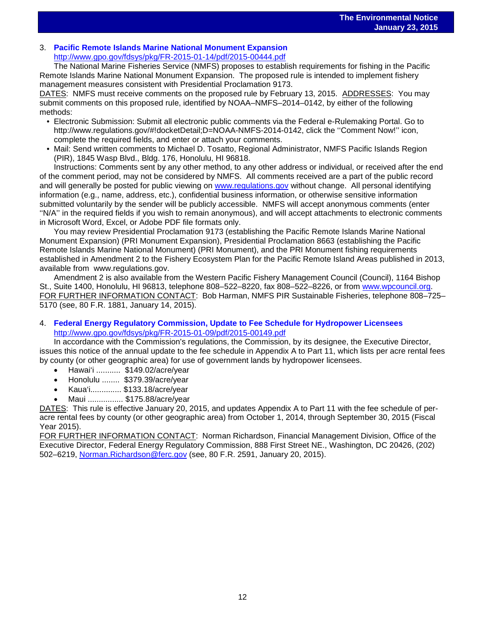# 3. **[Pacific Remote Islands Marine National Monument Expansion](http://www.gpo.gov/fdsys/pkg/FR-2015-01-14/pdf/2015-00444.pdf)** <http://www.gpo.gov/fdsys/pkg/FR-2015-01-14/pdf/2015-00444.pdf>

The National Marine Fisheries Service (NMFS) proposes to establish requirements for fishing in the Pacific Remote Islands Marine National Monument Expansion. The proposed rule is intended to implement fishery management measures consistent with Presidential Proclamation 9173.

DATES: NMFS must receive comments on the proposed rule by February 13, 2015. ADDRESSES: You may submit comments on this proposed rule, identified by NOAA–NMFS–2014–0142, by either of the following methods:

- Electronic Submission: Submit all electronic public comments via the Federal e-Rulemaking Portal. Go to http://www.regulations.gov/#!docketDetail;D=NOAA-NMFS-2014-0142, click the "Comment Now!" icon, complete the required fields, and enter or attach your comments.
- Mail: Send written comments to Michael D. Tosatto, Regional Administrator, NMFS Pacific Islands Region (PIR), 1845 Wasp Blvd., Bldg. 176, Honolulu, HI 96818.

Instructions: Comments sent by any other method, to any other address or individual, or received after the end of the comment period, may not be considered by NMFS. All comments received are a part of the public record and will generally be posted for public viewing on [www.regulations.gov](http://www.regulations.gov/) without change. All personal identifying information (e.g., name, address, etc.), confidential business information, or otherwise sensitive information submitted voluntarily by the sender will be publicly accessible. NMFS will accept anonymous comments (enter ''N/A'' in the required fields if you wish to remain anonymous), and will accept attachments to electronic comments in Microsoft Word, Excel, or Adobe PDF file formats only.

You may review Presidential Proclamation 9173 (establishing the Pacific Remote Islands Marine National Monument Expansion) (PRI Monument Expansion), Presidential Proclamation 8663 (establishing the Pacific Remote Islands Marine National Monument) (PRI Monument), and the PRI Monument fishing requirements established in Amendment 2 to the Fishery Ecosystem Plan for the Pacific Remote Island Areas published in 2013, available from www.regulations.gov.

Amendment 2 is also available from the Western Pacific Fishery Management Council (Council), 1164 Bishop St., Suite 1400, Honolulu, HI 96813, telephone 808–522–8220, fax 808–522–8226, or from [www.wpcouncil.org.](http://www.wpcouncil.org/) FOR FURTHER INFORMATION CONTACT: Bob Harman, NMFS PIR Sustainable Fisheries, telephone 808–725– 5170 (see, 80 F.R. 1881, January 14, 2015).

### 4. **[Federal Energy Regulatory Commission, Update to Fee Schedule for Hydropower Licensees](http://www.gpo.gov/fdsys/pkg/FR-2015-01-09/pdf/2015-00149.pdf)** <http://www.gpo.gov/fdsys/pkg/FR-2015-01-09/pdf/2015-00149.pdf>

In accordance with the Commission's regulations, the Commission, by its designee, the Executive Director, issues this notice of the annual update to the fee schedule in Appendix A to Part 11, which lists per acre rental fees by county (or other geographic area) for use of government lands by hydropower licensees.

- Hawai'i ........... \$149.02/acre/year
- Honolulu ........ \$379.39/acre/year
- Kaua'i.............. \$133.18/acre/year
- Maui ................ \$175.88/acre/year

DATES: This rule is effective January 20, 2015, and updates Appendix A to Part 11 with the fee schedule of peracre rental fees by county (or other geographic area) from October 1, 2014, through September 30, 2015 (Fiscal Year 2015).

FOR FURTHER INFORMATION CONTACT: Norman Richardson, Financial Management Division, Office of the Executive Director, Federal Energy Regulatory Commission, 888 First Street NE., Washington, DC 20426, (202) 502–6219, [Norman.Richardson@ferc.gov](mailto:Norman.Richardson@ferc.gov) (see, 80 F.R. 2591, January 20, 2015).